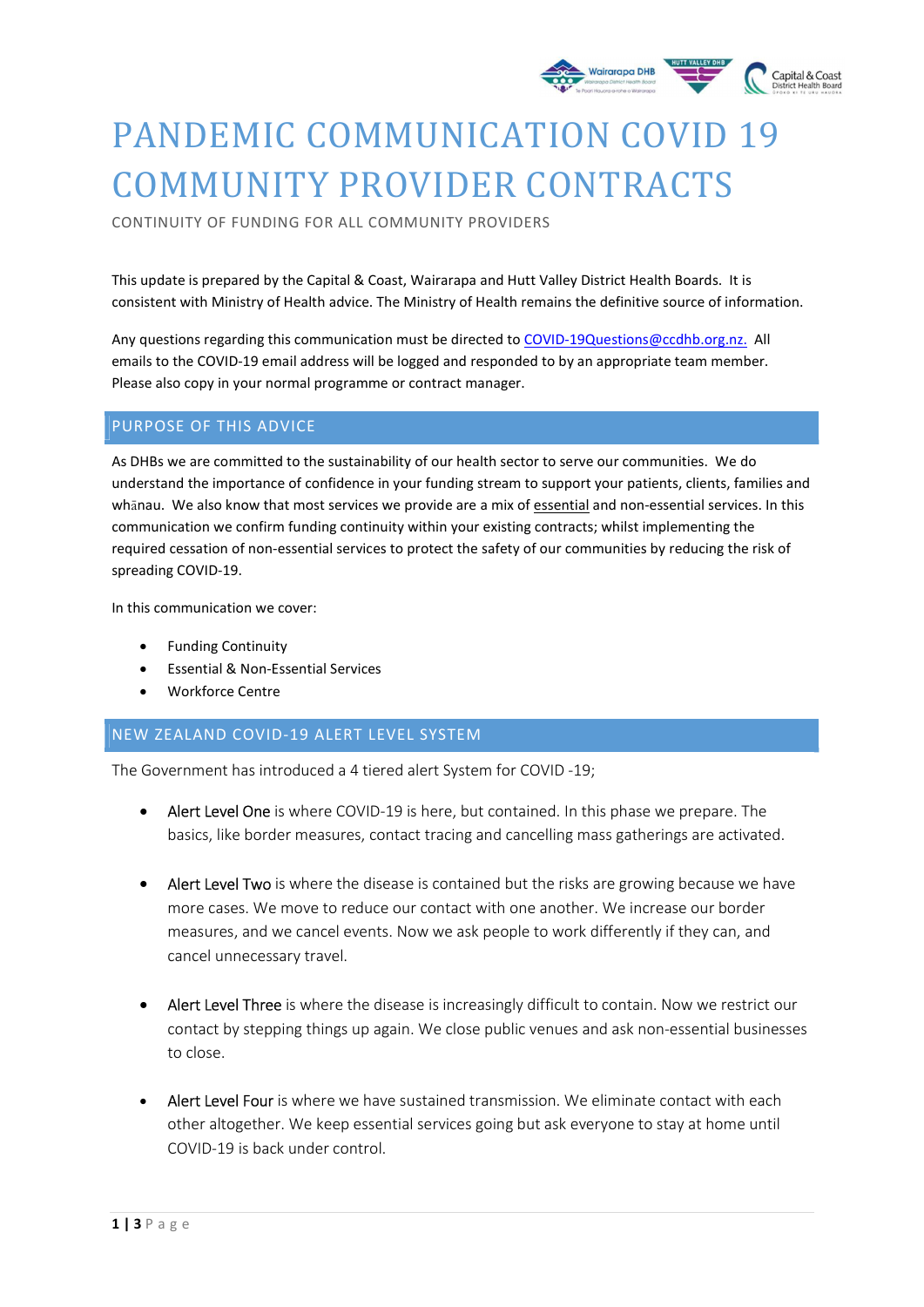

# PANDEMIC COMMUNICATION COVID 19 COMMUNITY PROVIDER CONTRACTS

CONTINUITY OF FUNDING FOR ALL COMMUNITY PROVIDERS

This update is prepared by the Capital & Coast, Wairarapa and Hutt Valley District Health Boards. It is consistent with Ministry of Health advice. The Ministry of Health remains the definitive source of information.

Any questions regarding this communication must be directed to COVID-19Questions@ccdhb.org.nz. All emails to the COVID-19 email address will be logged and responded to by an appropriate team member. Please also copy in your normal programme or contract manager.

# PURPOSE OF THIS ADVICE

As DHBs we are committed to the sustainability of our health sector to serve our communities. We do understand the importance of confidence in your funding stream to support your patients, clients, families and whānau. We also know that most services we provide are a mix of essential and non-essential services. In this communication we confirm funding continuity within your existing contracts; whilst implementing the required cessation of non-essential services to protect the safety of our communities by reducing the risk of spreading COVID-19.

In this communication we cover:

- Funding Continuity
- Essential & Non-Essential Services
- Workforce Centre

# NEW ZEALAND COVID-19 ALERT LEVEL SYSTEM

The Government has introduced a 4 tiered alert System for COVID -19;

- Alert Level One is where COVID-19 is here, but contained. In this phase we prepare. The basics, like border measures, contact tracing and cancelling mass gatherings are activated.
- Alert Level Two is where the disease is contained but the risks are growing because we have more cases. We move to reduce our contact with one another. We increase our border measures, and we cancel events. Now we ask people to work differently if they can, and cancel unnecessary travel.
- Alert Level Three is where the disease is increasingly difficult to contain. Now we restrict our contact by stepping things up again. We close public venues and ask non-essential businesses to close.
- Alert Level Four is where we have sustained transmission. We eliminate contact with each other altogether. We keep essential services going but ask everyone to stay at home until COVID-19 is back under control.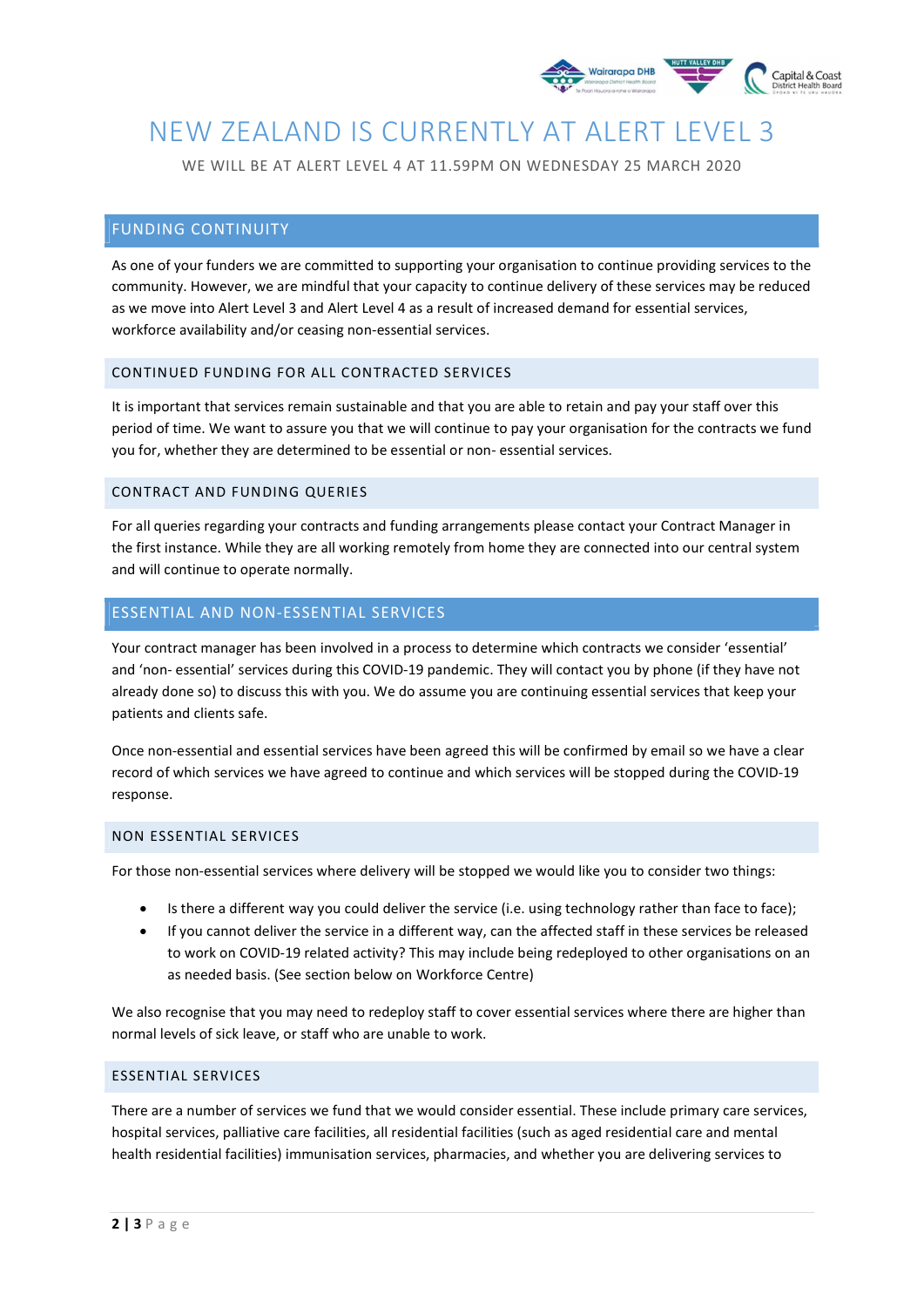

# NEW ZEALAND IS CURRENTLY AT ALERT LEVEL 3

WE WILL BE AT ALERT LEVEL 4 AT 11.59PM ON WEDNESDAY 25 MARCH 2020

# FUNDING CONTINUITY

As one of your funders we are committed to supporting your organisation to continue providing services to the community. However, we are mindful that your capacity to continue delivery of these services may be reduced as we move into Alert Level 3 and Alert Level 4 as a result of increased demand for essential services, workforce availability and/or ceasing non-essential services.

#### CONTINUED FUNDING FOR ALL CONTRACTED SERVICES

It is important that services remain sustainable and that you are able to retain and pay your staff over this period of time. We want to assure you that we will continue to pay your organisation for the contracts we fund you for, whether they are determined to be essential or non- essential services.

#### CONTRACT AND FUNDING QUERIES

For all queries regarding your contracts and funding arrangements please contact your Contract Manager in the first instance. While they are all working remotely from home they are connected into our central system and will continue to operate normally.

# ESSENTIAL AND NON-ESSENTIAL SERVICES

Your contract manager has been involved in a process to determine which contracts we consider 'essential' and 'non- essential' services during this COVID-19 pandemic. They will contact you by phone (if they have not already done so) to discuss this with you. We do assume you are continuing essential services that keep your patients and clients safe.

Once non-essential and essential services have been agreed this will be confirmed by email so we have a clear record of which services we have agreed to continue and which services will be stopped during the COVID-19 response.

#### NON ESSENTIAL SERVICES

For those non-essential services where delivery will be stopped we would like you to consider two things:

- Is there a different way you could deliver the service (i.e. using technology rather than face to face);
- If you cannot deliver the service in a different way, can the affected staff in these services be released to work on COVID-19 related activity? This may include being redeployed to other organisations on an as needed basis. (See section below on Workforce Centre)

We also recognise that you may need to redeploy staff to cover essential services where there are higher than normal levels of sick leave, or staff who are unable to work.

#### ESSENTIAL SERVICES

There are a number of services we fund that we would consider essential. These include primary care services, hospital services, palliative care facilities, all residential facilities (such as aged residential care and mental health residential facilities) immunisation services, pharmacies, and whether you are delivering services to